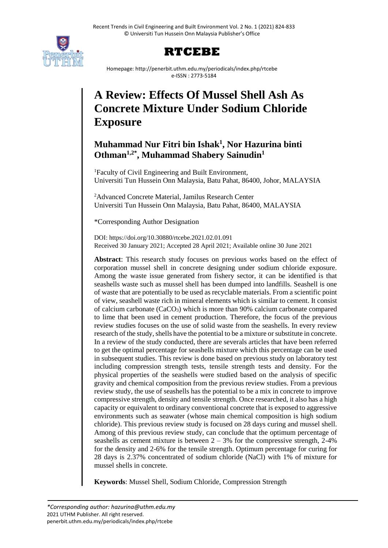



Homepage: http://penerbit.uthm.edu.my/periodicals/index.php/rtcebe e-ISSN : 2773-5184

# **A Review: Effects Of Mussel Shell Ash As Concrete Mixture Under Sodium Chloride Exposure**

# **Muhammad Nur Fitri bin Ishak<sup>1</sup> , Nor Hazurina binti Othman1,2\* , Muhammad Shabery Sainudin<sup>1</sup>**

<sup>1</sup>Faculty of Civil Engineering and Built Environment, Universiti Tun Hussein Onn Malaysia, Batu Pahat, 86400, Johor, MALAYSIA

<sup>2</sup>Advanced Concrete Material, Jamilus Research Center Universiti Tun Hussein Onn Malaysia, Batu Pahat, 86400, MALAYSIA

\*Corresponding Author Designation

DOI: https://doi.org/10.30880/rtcebe.2021.02.01.091 Received 30 January 2021; Accepted 28 April 2021; Available online 30 June 2021

**Abstract**: This research study focuses on previous works based on the effect of corporation mussel shell in concrete designing under sodium chloride exposure. Among the waste issue generated from fishery sector, it can be identified is that seashells waste such as mussel shell has been dumped into landfills. Seashell is one of waste that are potentially to be used as recyclable materials. From a scientific point of view, seashell waste rich in mineral elements which is similar to cement. It consist of calcium carbonate  $(CaCO<sub>3</sub>)$  which is more than 90% calcium carbonate compared to lime that been used in cement production. Therefore, the focus of the previous review studies focuses on the use of solid waste from the seashells. In every review research of the study, shells have the potential to be a mixture or substitute in concrete. In a review of the study conducted, there are severals articles that have been referred to get the optimal percentage for seashells mixture which this percentage can be used in subsequent studies. This review is done based on previous study on laboratory test including compression strength tests, tensile strength tests and density. For the physical properties of the seashells were studied based on the analysis of specific gravity and chemical composition from the previous review studies. From a previous review study, the use of seashells has the potential to be a mix in concrete to improve compressive strength, density and tensile strength. Once researched, it also has a high capacity or equivalent to ordinary conventional concrete that is exposed to aggressive environments such as seawater (whose main chemical composition is high sodium chloride). This previous review study is focused on 28 days curing and mussel shell. Among of this previous review study, can conclude that the optimum percentage of seashells as cement mixture is between  $2 - 3%$  for the compressive strength, 2-4% for the density and 2-6% for the tensile strength. Optimum percentage for curing for 28 days is 2.37% concentrated of sodium chloride (NaCl) with 1% of mixture for mussel shells in concrete.

**Keywords**: Mussel Shell, Sodium Chloride, Compression Strength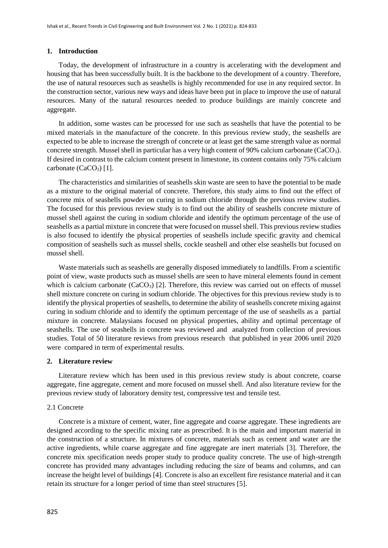#### **1. Introduction**

Today, the development of infrastructure in a country is accelerating with the development and housing that has been successfully built. It is the backbone to the development of a country. Therefore, the use of natural resources such as seashells is highly recommended for use in any required sector. In the construction sector, various new ways and ideas have been put in place to improve the use of natural resources. Many of the natural resources needed to produce buildings are mainly concrete and aggregate.

In addition, some wastes can be processed for use such as seashells that have the potential to be mixed materials in the manufacture of the concrete. In this previous review study, the seashells are expected to be able to increase the strength of concrete or at least get the same strength value as normal concrete strength. Mussel shell in particular has a very high content of 90% calcium carbonate (CaCO3). If desired in contrast to the calcium content present in limestone, its content contains only 75% calcium carbonate  $(CaCO<sub>3</sub>)$  [1].

The characteristics and similarities of seashells skin waste are seen to have the potential to be made as a mixture to the original material of concrete. Therefore, this study aims to find out the effect of concrete mix of seashells powder on curing in sodium chloride through the previous review studies. The focused for this previous review study is to find out the ability of seashells concrete mixture of mussel shell against the curing in sodium chloride and identify the optimum percentage of the use of seashells as a partial mixture in concrete that were focused on mussel shell. This previous review studies is also focused to identify the physical properties of seashells include specific gravity and chemical composition of seashells such as mussel shells, cockle seashell and other else seashells but focused on mussel shell.

Waste materials such as seashells are generally disposed immediately to landfills. From a scientific point of view, waste products such as mussel shells are seen to have mineral elements found in cement which is calcium carbonate  $(CaCO<sub>3</sub>)$  [2]. Therefore, this review was carried out on effects of mussel shell mixture concrete on curing in sodium chloride. The objectives for this previous review study is to identify the physical properties of seashells, to determine the ability of seashells concrete mixing against curing in sodium chloride and to identify the optimum percentage of the use of seashells as a partial mixture in concrete. Malaysians focused on physical properties, ability and optimal percentage of seashells. The use of seashells in concrete was reviewed and analyzed from collection of previous studies. Total of 50 literature reviews from previous research that published in year 2006 until 2020 were compared in term of experimental results.

#### **2. Literature review**

Literature review which has been used in this previous review study is about concrete, coarse aggregate, fine aggregate, cement and more focused on mussel shell. And also literature review for the previous review study of laboratory density test, compressive test and tensile test.

#### 2.1 Concrete

Concrete is a mixture of cement, water, fine aggregate and coarse aggregate. These ingredients are designed according to the specific mixing rate as prescribed. It is the main and important material in the construction of a structure. In mixtures of concrete, materials such as cement and water are the active ingredients, while coarse aggregate and fine aggregate are inert materials [3]. Therefore, the concrete mix specification needs proper study to produce quality concrete. The use of high-strength concrete has provided many advantages including reducing the size of beams and columns, and can increase the height level of buildings [4]. Concrete is also an excellent fire resistance material and it can retain its structure for a longer period of time than steel structures [5].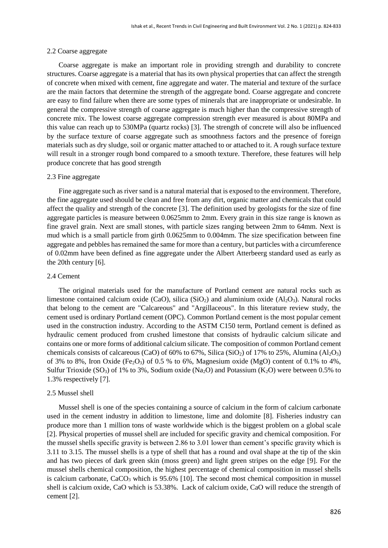#### 2.2 Coarse aggregate

Coarse aggregate is make an important role in providing strength and durability to concrete structures. Coarse aggregate is a material that has its own physical properties that can affect the strength of concrete when mixed with cement, fine aggregate and water. The material and texture of the surface are the main factors that determine the strength of the aggregate bond. Coarse aggregate and concrete are easy to find failure when there are some types of minerals that are inappropriate or undesirable. In general the compressive strength of coarse aggregate is much higher than the compressive strength of concrete mix. The lowest coarse aggregate compression strength ever measured is about 80MPa and this value can reach up to 530MPa (quartz rocks) [3]. The strength of concrete will also be influenced by the surface texture of coarse aggregate such as smoothness factors and the presence of foreign materials such as dry sludge, soil or organic matter attached to or attached to it. A rough surface texture will result in a stronger rough bond compared to a smooth texture. Therefore, these features will help produce concrete that has good strength

#### 2.3 Fine aggregate

Fine aggregate such as river sand is a natural material that is exposed to the environment. Therefore, the fine aggregate used should be clean and free from any dirt, organic matter and chemicals that could affect the quality and strength of the concrete [3]. The definition used by geologists for the size of fine aggregate particles is measure between 0.0625mm to 2mm. Every grain in this size range is known as fine gravel grain. Next are small stones, with particle sizes ranging between 2mm to 64mm. Next is mud which is a small particle from girth 0.0625mm to 0.004mm. The size specification between fine aggregate and pebbles has remained the same for more than a century, but particles with a circumference of 0.02mm have been defined as fine aggregate under the Albert Atterbeerg standard used as early as the 20th century [6].

# 2.4 Cement

The original materials used for the manufacture of Portland cement are natural rocks such as limestone contained calcium oxide (CaO), silica (SiO<sub>2</sub>) and aluminium oxide (Al<sub>2</sub>O<sub>3</sub>). Natural rocks that belong to the cement are "Calcareous" and "Argillaceous". In this literature review study, the cement used is ordinary Portland cement (OPC). Common Portland cement is the most popular cement used in the construction industry. According to the ASTM C150 term, Portland cement is defined as hydraulic cement produced from crushed limestone that consists of hydraulic calcium silicate and contains one or more forms of additional calcium silicate. The composition of common Portland cement chemicals consists of calcareous (CaO) of 60% to 67%, Silica (SiO<sub>2</sub>) of 17% to 25%, Alumina (Al<sub>2</sub>O<sub>3</sub>) of 3% to 8%, Iron Oxide (Fe<sub>2</sub>O<sub>3</sub>) of 0.5 % to 6%, Magnesium oxide (MgO) content of 0.1% to 4%, Sulfur Trioxide (SO<sub>3</sub>) of 1% to 3%, Sodium oxide (Na<sub>2</sub>O) and Potassium (K<sub>2</sub>O) were between 0.5% to 1.3% respectively [7].

#### 2.5 Mussel shell

Mussel shell is one of the species containing a source of calcium in the form of calcium carbonate used in the cement industry in addition to limestone, lime and dolomite [8]. Fisheries industry can produce more than 1 million tons of waste worldwide which is the biggest problem on a global scale [2]. Physical properties of mussel shell are included for specific gravity and chemical composition. For the mussel shells specific gravity is between 2.86 to 3.01 lower than cement's specific gravity which is 3.11 to 3.15. The mussel shells is a type of shell that has a round and oval shape at the tip of the skin and has two pieces of dark green skin (moss green) and light green stripes on the edge [9]. For the mussel shells chemical composition, the highest percentage of chemical composition in mussel shells is calcium carbonate,  $CaCO<sub>3</sub>$  which is 95.6% [10]. The second most chemical composition in mussel shell is calcium oxide, CaO which is 53.38%. Lack of calcium oxide, CaO will reduce the strength of cement [2].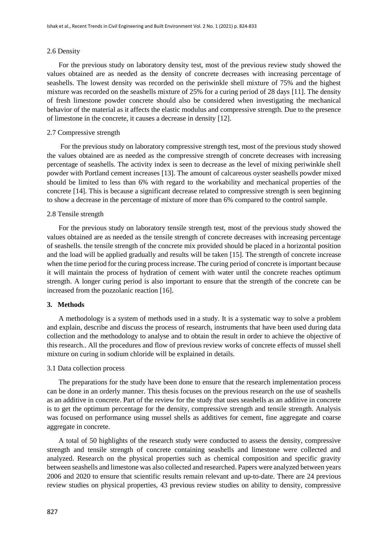#### 2.6 Density

For the previous study on laboratory density test, most of the previous review study showed the values obtained are as needed as the density of concrete decreases with increasing percentage of seashells. The lowest density was recorded on the periwinkle shell mixture of 75% and the highest mixture was recorded on the seashells mixture of 25% for a curing period of 28 days [11]. The density of fresh limestone powder concrete should also be considered when investigating the mechanical behavior of the material as it affects the elastic modulus and compressive strength. Due to the presence of limestone in the concrete, it causes a decrease in density [12].

#### 2.7 Compressive strength

For the previous study on laboratory compressive strength test, most of the previous study showed the values obtained are as needed as the compressive strength of concrete decreases with increasing percentage of seashells. The activity index is seen to decrease as the level of mixing periwinkle shell powder with Portland cement increases [13]. The amount of calcareous oyster seashells powder mixed should be limited to less than 6% with regard to the workability and mechanical properties of the concrete [14]. This is because a significant decrease related to compressive strength is seen beginning to show a decrease in the percentage of mixture of more than 6% compared to the control sample.

#### 2.8 Tensile strength

For the previous study on laboratory tensile strength test, most of the previous study showed the values obtained are as needed as the tensile strength of concrete decreases with increasing percentage of seashells. the tensile strength of the concrete mix provided should be placed in a horizontal position and the load will be applied gradually and results will be taken [15]. The strength of concrete increase when the time period for the curing process increase. The curing period of concrete is important because it will maintain the process of hydration of cement with water until the concrete reaches optimum strength. A longer curing period is also important to ensure that the strength of the concrete can be increased from the pozzolanic reaction [16].

#### **3. Methods**

A methodology is a system of methods used in a study. It is a systematic way to solve a problem and explain, describe and discuss the process of research, instruments that have been used during data collection and the methodology to analyse and to obtain the result in order to achieve the objective of this research.. All the procedures and flow of previous review works of concrete effects of mussel shell mixture on curing in sodium chloride will be explained in details.

#### 3.1 Data collection process

The preparations for the study have been done to ensure that the research implementation process can be done in an orderly manner. This thesis focuses on the previous research on the use of seashells as an additive in concrete. Part of the review for the study that uses seashells as an additive in concrete is to get the optimum percentage for the density, compressive strength and tensile strength. Analysis was focused on performance using mussel shells as additives for cement, fine aggregate and coarse aggregate in concrete.

A total of 50 highlights of the research study were conducted to assess the density, compressive strength and tensile strength of concrete containing seashells and limestone were collected and analyzed. Research on the physical properties such as chemical composition and specific gravity between seashells and limestone was also collected and researched. Papers were analyzed between years 2006 and 2020 to ensure that scientific results remain relevant and up-to-date. There are 24 previous review studies on physical properties, 43 previous review studies on ability to density, compressive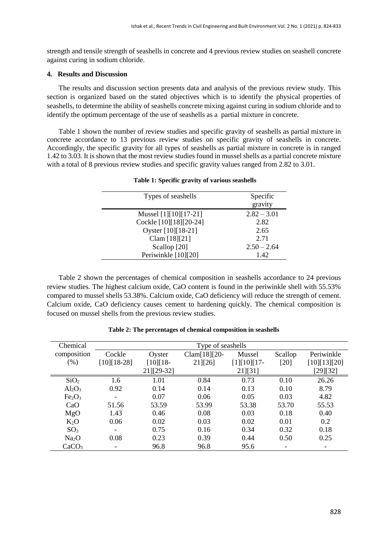strength and tensile strength of seashells in concrete and 4 previous review studies on seashell concrete against curing in sodium chloride.

# **4. Results and Discussion**

The results and discussion section presents data and analysis of the previous review study. This section is organized based on the stated objectives which is to identify the physical properties of seashells, to determine the ability of seashells concrete mixing against curing in sodium chloride and to identify the optimum percentage of the use of seashells as a partial mixture in concrete.

Table 1 shown the number of review studies and specific gravity of seashells as partial mixture in concrete accordance to 13 previous review studies on specific gravity of seashells in concrete. Accordingly, the specific gravity for all types of seashells as partial mixture in concrete is in ranged 1.42 to 3.03. It is shown that the most review studies found in mussel shells as a partial concrete mixture with a total of 8 previous review studies and specific gravity values ranged from 2.82 to 3.01.

| Types of seashells      | Specific<br>gravity |
|-------------------------|---------------------|
| Mussel $[1][10][17-21]$ | $2.82 - 3.01$       |
| Cockle [10][18][20-24]  | 2.82                |
| Oyster [10][18-21]      | 2.65                |
| Clam [18][21]           | 2.71                |
| Scallop [20]            | $2.50 - 2.64$       |
| Periwinkle [10][20]     | 1.42                |

#### **Table 1: Specific gravity of various seashells**

Table 2 shown the percentages of chemical composition in seashells accordance to 24 previous review studies. The highest calcium oxide, CaO content is found in the periwinkle shell with 55.53% compared to mussel shells 53.38%. Calcium oxide, CaO deficiency will reduce the strength of cement. Calcium oxide, CaO deficiency causes cement to hardening quickly. The chemical composition is focused on mussel shells from the previous review studies.

| Chemical                       | Type of seashells |            |               |               |         |              |
|--------------------------------|-------------------|------------|---------------|---------------|---------|--------------|
| composition                    | Cockle            | Oyster     | Clam[18][20-  | Mussel        | Scallop | Periwinkle   |
| (% )                           | $[10][18-28]$     | $[10][18-$ | $21$ [ $26$ ] | $[1][10][17-$ | [20]    | [10][13][20] |
|                                |                   | 21][29-32] |               | 21][31]       |         | [29][32]     |
| SiO <sub>2</sub>               | 1.6               | 1.01       | 0.84          | 0.73          | 0.10    | 26.26        |
| $Al_2O_3$                      | 0.92              | 0.14       | 0.14          | 0.13          | 0.10    | 8.79         |
| Fe <sub>2</sub> O <sub>3</sub> |                   | 0.07       | 0.06          | 0.05          | 0.03    | 4.82         |
| CaO                            | 51.56             | 53.59      | 53.99         | 53.38         | 53.70   | 55.53        |
| MgO                            | 1.43              | 0.46       | 0.08          | 0.03          | 0.18    | 0.40         |
| $K_2O$                         | 0.06              | 0.02       | 0.03          | 0.02          | 0.01    | 0.2          |
| SO <sub>3</sub>                |                   | 0.75       | 0.16          | 0.34          | 0.32    | 0.18         |
| Na <sub>2</sub> O              | 0.08              | 0.23       | 0.39          | 0.44          | 0.50    | 0.25         |
| CaCO <sub>3</sub>              |                   | 96.8       | 96.8          | 95.6          |         |              |

**Table 2: The percentages of chemical composition in seashells**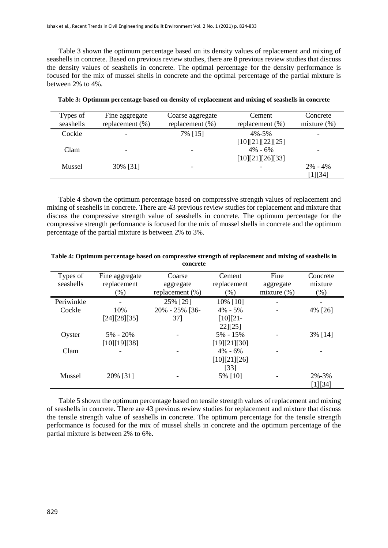Table 3 shown the optimum percentage based on its density values of replacement and mixing of seashells in concrete. Based on previous review studies, there are 8 previous review studies that discuss the density values of seashells in concrete. The optimal percentage for the density performance is focused for the mix of mussel shells in concrete and the optimal percentage of the partial mixture is between 2% to 4%.

| Types of  | Fine aggregate     | Coarse aggregate         | Cement             | Concrete       |
|-----------|--------------------|--------------------------|--------------------|----------------|
| seashells | replacement $(\%)$ | replacement (%)          | replacement $(\%)$ | mixture $(\%)$ |
| Cockle    |                    | 7% [15]                  | $4\% - 5\%$        |                |
|           |                    |                          | [10][21][22][25]   |                |
| Clam      |                    | $\overline{\phantom{a}}$ | $4\% - 6\%$        |                |
|           |                    |                          | [10][21][26][33]   |                |
| Mussel    | 30% [31]           |                          |                    | $2\% - 4\%$    |
|           |                    |                          |                    | [1][34]        |

**Table 3: Optimum percentage based on density of replacement and mixing of seashells in concrete**

Table 4 shown the optimum percentage based on compressive strength values of replacement and mixing of seashells in concrete. There are 43 previous review studies for replacement and mixture that discuss the compressive strength value of seashells in concrete. The optimum percentage for the compressive strength performance is focused for the mix of mussel shells in concrete and the optimum percentage of the partial mixture is between 2% to 3%.

| Types of<br>seashells | Fine aggregate<br>replacement<br>$(\%)$ | Coarse<br>aggregate<br>replacement $(\% )$ | Cement<br>replacement<br>$(\% )$ | Fine<br>aggregate<br>mixture $(\%)$ | Concrete<br>mixture<br>(% ) |
|-----------------------|-----------------------------------------|--------------------------------------------|----------------------------------|-------------------------------------|-----------------------------|
| Periwinkle            |                                         | 25% [29]                                   | 10% [10]                         |                                     |                             |
| Cockle                | 10%                                     | 20% - 25% [36-                             | $4\% - 5\%$                      |                                     | 4% [26]                     |
|                       | [24][28][35]                            | $37$ ]                                     | $[10][21-$                       |                                     |                             |
|                       |                                         |                                            | $22$ [25]                        |                                     |                             |
| Oyster                | $5\% - 20\%$                            |                                            | $5\% - 15\%$                     |                                     | 3% [14]                     |
|                       | [10][19][38]                            |                                            | [19][21][30]                     |                                     |                             |
| Clam                  |                                         |                                            | $4\% - 6\%$                      |                                     |                             |
|                       |                                         |                                            | [10][21][26]                     |                                     |                             |
|                       |                                         |                                            | $[33]$                           |                                     |                             |
| Mussel                | 20% [31]                                |                                            | 5% [10]                          |                                     | $2\% - 3\%$                 |
|                       |                                         |                                            |                                  |                                     | [1][34]                     |

**Table 4: Optimum percentage based on compressive strength of replacement and mixing of seashells in concrete**

Table 5 shown the optimum percentage based on tensile strength values of replacement and mixing of seashells in concrete. There are 43 previous review studies for replacement and mixture that discuss the tensile strength value of seashells in concrete. The optimum percentage for the tensile strength performance is focused for the mix of mussel shells in concrete and the optimum percentage of the partial mixture is between 2% to 6%.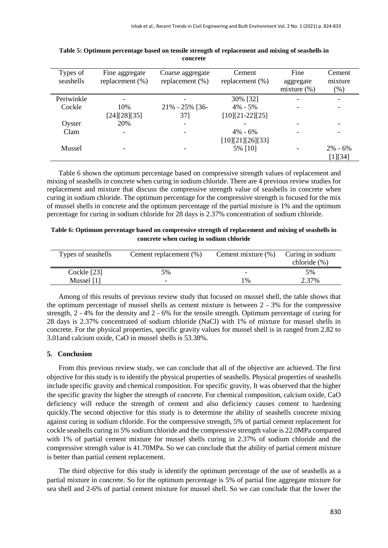| Types of<br>seashells | Fine aggregate<br>replacement $(\%)$ | Coarse aggregate<br>replacement $(\%)$ | Cement<br>replacement $(\%)$ | Fine<br>aggregate | Cement<br>mixture |
|-----------------------|--------------------------------------|----------------------------------------|------------------------------|-------------------|-------------------|
|                       |                                      |                                        |                              | mixture $(\%)$    | (%)               |
| Periwinkle            |                                      |                                        | 30% [32]                     |                   |                   |
| Cockle                | 10%                                  | $21\% - 25\%$ [36-                     | $4\% - 5\%$                  |                   |                   |
|                       | [24][28][35]                         | 37]                                    | $[10][21-22][25]$            |                   |                   |
| Oyster                | 20%                                  |                                        |                              |                   |                   |
| Clam                  |                                      |                                        | $4\% - 6\%$                  |                   |                   |
|                       |                                      |                                        | [10][21][26][33]             |                   |                   |
| Mussel                |                                      |                                        | 5% [10]                      |                   | $2\% - 6\%$       |
|                       |                                      |                                        |                              |                   | [1][34]           |

**Table 5: Optimum percentage based on tensile strength of replacement and mixing of seashells in concrete**

Table 6 shown the optimum percentage based on compressive strength values of replacement and mixing of seashells in concrete when curing in sodium chloride. There are 4 previous review studies for replacement and mixture that discuss the compressive strength value of seashells in concrete when curing in sodium chloride. The optimum percentage for the compressive strength is focused for the mix of mussel shells in concrete and the optimum percentage of the partial mixture is 1% and the optimum percentage for curing in sodium chloride for 28 days is 2.37% concentration of sodium chloride.

| Table 6: Optimum percentage based on compressive strength of replacement and mixing of seashells in |  |
|-----------------------------------------------------------------------------------------------------|--|
| concrete when curing in sodium chloride                                                             |  |

| Types of seashells | Cement replacement (%) | Cement mixture $(\% )$   | Curing in sodium<br>chloride (%) |
|--------------------|------------------------|--------------------------|----------------------------------|
| Cockle [23]        | 5%                     | $\overline{\phantom{0}}$ | 5%                               |
| Mussel $[1]$       | -                      | $1\%$                    | 2.37%                            |

Among of this results of previous review study that focused on mussel shell, the table shows that the optimum percentage of mussel shells as cement mixture is between 2 - 3% for the compressive strength, 2 - 4% for the density and 2 - 6% for the tensile strength. Optimum percentage of curing for 28 days is 2.37% concentrated of sodium chloride (NaCl) with 1% of mixture for mussel shells in concrete. For the physical properties, specific gravity values for mussel shell is in ranged from 2.82 to 3.01and calcium oxide, CaO in mussel shells is 53.38%.

# **5. Conclusion**

From this previous review study, we can conclude that all of the objective are achieved. The first objective for this study is to identify the physical properties of seashells. Physical properties of seashells include specific gravity and chemical composition. For specific gravity, It was observed that the higher the specific gravity the higher the strength of concrete. For chemical composition, calcium oxide, CaO deficiency will reduce the strength of cement and also deficiency causes cement to hardening quickly.The second objective for this study is to determine the ability of seashells concrete mixing against curing in sodium chloride. For the compressive strength, 5% of partial cement replacement for cockle seashells curing in 5% sodium chloride and the compressive strength value is 22.0MPa compared with 1% of partial cement mixture for mussel shells curing in 2.37% of sodium chloride and the compressive strength value is 41.70MPa. So we can conclude that the ability of partial cement mixture is better than partial cement replacement.

The third objective for this study is identify the optimum percentage of the use of seashells as a partial mixture in concrete. So for the optimum percentage is 5% of partial fine aggregate mixture for sea shell and 2-6% of partial cement mixture for mussel shell. So we can conclude that the lower the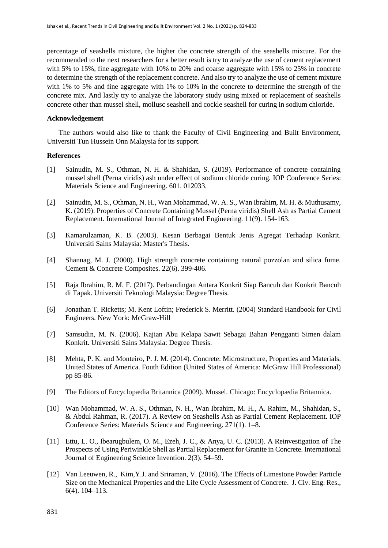percentage of seashells mixture, the higher the concrete strength of the seashells mixture. For the recommended to the next researchers for a better result is try to analyze the use of cement replacement with 5% to 15%, fine aggregate with 10% to 20% and coarse aggregate with 15% to 25% in concrete to determine the strength of the replacement concrete. And also try to analyze the use of cement mixture with 1% to 5% and fine aggregate with 1% to 10% in the concrete to determine the strength of the concrete mix. And lastly try to analyze the laboratory study using mixed or replacement of seashells concrete other than mussel shell, mollusc seashell and cockle seashell for curing in sodium chloride.

#### **Acknowledgement**

The authors would also like to thank the Faculty of Civil Engineering and Built Environment, Universiti Tun Hussein Onn Malaysia for its support.

### **References**

- [1] Sainudin, M. S., Othman, N. H. & Shahidan, S. (2019). Performance of concrete containing mussel shell (Perna viridis) ash under effect of sodium chloride curing. [IOP Conference Series:](https://iopscience.iop.org/journal/1757-899X)  [Materials Science and Engineering.](https://iopscience.iop.org/journal/1757-899X) 601. 012033.
- [2] Sainudin, M. S., Othman, N. H., Wan Mohammad, W. A. S., Wan Ibrahim, M. H. & Muthusamy, K. (2019). Properties of Concrete Containing Mussel (Perna viridis) Shell Ash as Partial Cement Replacement. International Journal of Integrated Engineering. 11(9). 154-163.
- [3] Kamarulzaman, K. B. (2003). Kesan Berbagai Bentuk Jenis Agregat Terhadap Konkrit. Universiti Sains Malaysia: Master's Thesis.
- [4] Shannag, M. J. (2000). High strength concrete containing natural pozzolan and silica fume. Cement & Concrete Composites. 22(6). 399-406.
- [5] Raja Ibrahim, R. M. F. (2017). Perbandingan Antara Konkrit Siap Bancuh dan Konkrit Bancuh di Tapak. Universiti Teknologi Malaysia: Degree Thesis.
- [6] Jonathan T. Ricketts; M. Kent Loftin; Frederick S. Merritt. (2004) Standard Handbook for Civil Engineers. New York: McGraw-Hill
- [7] Samsudin, M. N. (2006). Kajian Abu Kelapa Sawit Sebagai Bahan Pengganti Simen dalam Konkrit. Universiti Sains Malaysia: Degree Thesis.
- [8] Mehta, P. K. and Monteiro, P. J. M. (2014). Concrete: Microstructure, Properties and Materials. United States of America. Fouth Edition (United States of America: McGraw Hill Professional) pp 85-86.
- [9] The Editors of Encyclopædia Britannica (2009). Mussel. Chicago: Encyclopædia Britannica.
- [10] Wan Mohammad, W. A. S., Othman, N. H., Wan Ibrahim, M. H., A. Rahim, M., Shahidan, S., & Abdul Rahman, R. (2017). A Review on Seashells Ash as Partial Cement Replacement. IOP Conference Series: Materials Science and Engineering. 271(1). 1–8.
- [11] Ettu, L. O., Ibearugbulem, O. M., Ezeh, J. C., & Anya, U. C. (2013). A Reinvestigation of The Prospects of Using Periwinkle Shell as Partial Replacement for Granite in Concrete. International Journal of Engineering Science Invention. 2(3). 54–59.
- [12] Van Leeuwen, R., Kim,Y.J. and Sriraman, V. (2016). The Effects of Limestone Powder Particle Size on the Mechanical Properties and the Life Cycle Assessment of Concrete. J. Civ. Eng. Res., 6(4). 104–113.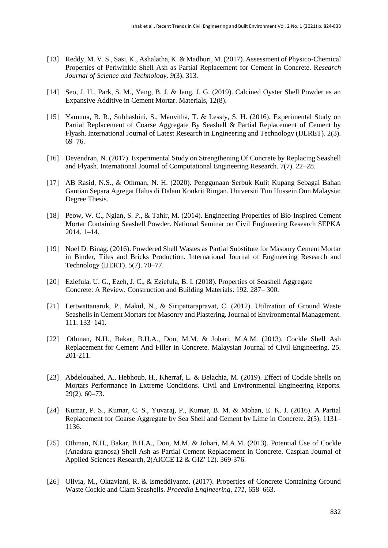- [13] Reddy, M. V. S., Sasi, K., Ashalatha, K. & Madhuri, M. (2017). Assessment of Physico-Chemical Properties of Periwinkle Shell Ash as Partial Replacement for Cement in Concrete. R*esearch Journal of Science and Technology*. *9*(3). 313.
- [14] Seo, J. H., Park, S. M., Yang, B. J. & Jang, J. G. (2019). Calcined Oyster Shell Powder as an Expansive Additive in Cement Mortar. Materials, 12(8).
- [15] Yamuna, B. R., Subhashini, S., Manvitha, T. & Lessly, S. H. (2016). Experimental Study on Partial Replacement of Coarse Aggregate By Seashell & Partial Replacement of Cement by Flyash. International Journal of Latest Research in Engineering and Technology (IJLRET). 2(3). 69–76.
- [16] Devendran, N. (2017). Experimental Study on Strengthening Of Concrete by Replacing Seashell and Flyash. International Journal of Computational Engineering Research. 7(7). 22–28.
- [17] AB Rasid, N.S., & Othman, N. H. (2020). Penggunaan Serbuk Kulit Kupang Sebagai Bahan Gantian Separa Agregat Halus di Dalam Konkrit Ringan. Universiti Tun Hussein Onn Malaysia: Degree Thesis.
- [18] Peow, W. C., Ngian, S. P., & Tahir, M. (2014). Engineering Properties of Bio-Inspired Cement Mortar Containing Seashell Powder. National Seminar on Civil Engineering Research SEPKA 2014. 1–14.
- [19] Noel D. Binag. (2016). Powdered Shell Wastes as Partial Substitute for Masonry Cement Mortar in Binder, Tiles and Bricks Production. International Journal of Engineering Research and Technology (IJERT). 5(7). 70–77.
- [20] Eziefula, U. G., Ezeh, J. C., & Eziefula, B. I. (2018). Properties of Seashell Aggregate Concrete: A Review. Construction and Building Materials. 192. 287– 300.
- [21] Lertwattanaruk, P., Makul, N., & Siripattarapravat, C. (2012). Utilization of Ground Waste Seashells in Cement Mortars for Masonry and Plastering. Journal of Environmental Management. 111. 133–141.
- [22] Othman, N.H., Bakar, B.H.A., Don, M.M. & Johari, M.A.M. (2013). Cockle Shell Ash Replacement for Cement And Filler in Concrete. Malaysian Journal of Civil Engineering. 25. 201-211.
- [23] Abdelouahed, A., Hebhoub, H., Kherraf, L. & Belachia, M. (2019). Effect of Cockle Shells on Mortars Performance in Extreme Conditions. Civil and Environmental Engineering Reports. 29(2). 60–73.
- [24] Kumar, P. S., Kumar, C. S., Yuvaraj, P., Kumar, B. M. & Mohan, E. K. J. (2016). A Partial Replacement for Coarse Aggregate by Sea Shell and Cement by Lime in Concrete. 2(5), 1131– 1136.
- [25] Othman, N.H., Bakar, B.H.A., Don, M.M. & Johari, M.A.M. (2013). Potential Use of Cockle (Anadara granosa) Shell Ash as Partial Cement Replacement in Concrete. Caspian Journal of Applied Sciences Research, 2(AICCE'12 & GIZ' 12). 369-376.
- [26] Olivia, M., Oktaviani, R. & Ismeddiyanto. (2017). Properties of Concrete Containing Ground Waste Cockle and Clam Seashells. *Procedia Engineering*, *171*, 658–663.